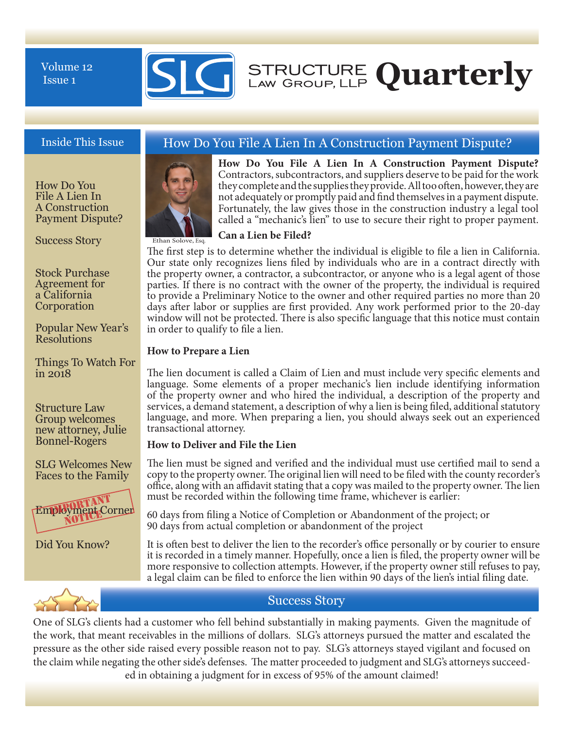Issue 1



How Do You File A Lien In A Construction Payment Dispute?

Success Story

Stock Purchase Agreement for a California Corporation

Popular New Year's Resolutions

Things To Watch For in 2018

Structure Law Group welcomes new attorney, Julie Bonnel-Rogers

SLG Welcomes New Faces to the Family



Did You Know?

## Inside This Issue How Do You File A Lien In A Construction Payment Dispute?



Ethan Solove, Esq.

**How Do You File A Lien In A Construction Payment Dispute?**  Contractors, subcontractors, and suppliers deserve to be paid for the work they complete and the supplies they provide. All too often, however, they are not adequately or promptly paid and find themselves in a payment dispute. Fortunately, the law gives those in the construction industry a legal tool called a "mechanic's lien" to use to secure their right to proper payment.

#### **Can a Lien be Filed?**

The first step is to determine whether the individual is eligible to file a lien in California. Our state only recognizes liens filed by individuals who are in a contract directly with the property owner, a contractor, a subcontractor, or anyone who is a legal agent of those parties. If there is no contract with the owner of the property, the individual is required to provide a Preliminary Notice to the owner and other required parties no more than 20 days after labor or supplies are first provided. Any work performed prior to the 20-day window will not be protected. There is also specific language that this notice must contain in order to qualify to file a lien.

#### **How to Prepare a Lien**

The lien document is called a Claim of Lien and must include very specific elements and language. Some elements of a proper mechanic's lien include identifying information of the property owner and who hired the individual, a description of the property and services, a demand statement, a description of why a lien is being filed, additional statutory language, and more. When preparing a lien, you should always seek out an experienced transactional attorney.

#### **How to Deliver and File the Lien**

The lien must be signed and verified and the individual must use certified mail to send a copy to the property owner. The original lien will need to be filed with the county recorder's office, along with an affidavit stating that a copy was mailed to the property owner. The lien must be recorded within the following time frame, whichever is earlier:

60 days from filing a Notice of Completion or Abandonment of the project; or 90 days from actual completion or abandonment of the project

It is often best to deliver the lien to the recorder's office personally or by courier to ensure it is recorded in a timely manner. Hopefully, once a lien is filed, the property owner will be more responsive to collection attempts. However, if the property owner still refuses to pay, a legal claim can be filed to enforce the lien within 90 days of the lien's intial filing date.



### Success Story

One of SLG's clients had a customer who fell behind substantially in making payments. Given the magnitude of the work, that meant receivables in the millions of dollars. SLG's attorneys pursued the matter and escalated the pressure as the other side raised every possible reason not to pay. SLG's attorneys stayed vigilant and focused on the claim while negating the other side's defenses. The matter proceeded to judgment and SLG's attorneys succeeded in obtaining a judgment for in excess of 95% of the amount claimed!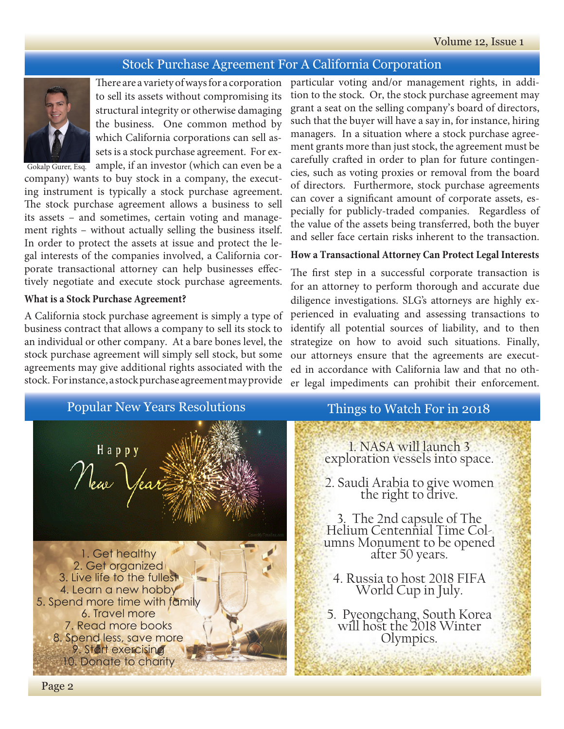## Stock Purchase Agreement For A California Corporation



There are a variety of ways for a corporation to sell its assets without compromising its structural integrity or otherwise damaging the business. One common method by which California corporations can sell assets is a stock purchase agreement. For example, if an investor (which can even be a

company) wants to buy stock in a company, the executing instrument is typically a stock purchase agreement. The stock purchase agreement allows a business to sell its assets – and sometimes, certain voting and management rights – without actually selling the business itself. In order to protect the assets at issue and protect the legal interests of the companies involved, a California corporate transactional attorney can help businesses effectively negotiate and execute stock purchase agreements.

#### **What is a Stock Purchase Agreement?**

A California stock purchase agreement is simply a type of business contract that allows a company to sell its stock to an individual or other company. At a bare bones level, the stock purchase agreement will simply sell stock, but some agreements may give additional rights associated with the stock. For instance, a stock purchase agreement may provide

particular voting and/or management rights, in addition to the stock. Or, the stock purchase agreement may grant a seat on the selling company's board of directors, such that the buyer will have a say in, for instance, hiring managers. In a situation where a stock purchase agreement grants more than just stock, the agreement must be carefully crafted in order to plan for future contingencies, such as voting proxies or removal from the board of directors. Furthermore, stock purchase agreements can cover a significant amount of corporate assets, especially for publicly-traded companies. Regardless of the value of the assets being transferred, both the buyer and seller face certain risks inherent to the transaction.

#### **How a Transactional Attorney Can Protect Legal Interests**

The first step in a successful corporate transaction is for an attorney to perform thorough and accurate due diligence investigations. SLG's attorneys are highly experienced in evaluating and assessing transactions to identify all potential sources of liability, and to then strategize on how to avoid such situations. Finally, our attorneys ensure that the agreements are executed in accordance with California law and that no other legal impediments can prohibit their enforcement.

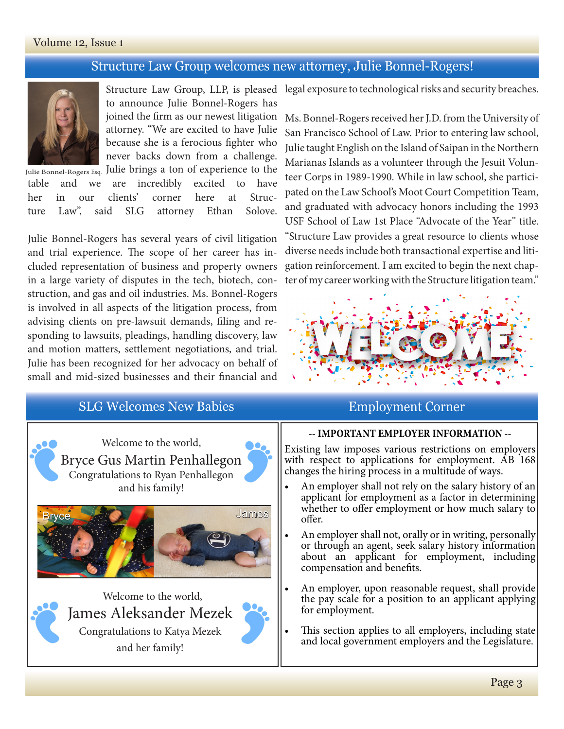### Volume 12, Issue 1

## Structure Law Group welcomes new attorney, Julie Bonnel-Rogers!



Julie Bonnel-Rogers Esq. Julie brings a ton of experience to the to announce Julie Bonnel-Rogers has joined the firm as our newest litigation attorney. "We are excited to have Julie because she is a ferocious fighter who never backs down from a challenge.

table and we are incredibly excited to have her in our clients' corner here at Structure Law", said SLG attorney Ethan Solove.

Julie Bonnel-Rogers has several years of civil litigation and trial experience. The scope of her career has included representation of business and property owners in a large variety of disputes in the tech, biotech, construction, and gas and oil industries. Ms. Bonnel-Rogers is involved in all aspects of the litigation process, from advising clients on pre-lawsuit demands, filing and responding to lawsuits, pleadings, handling discovery, law and motion matters, settlement negotiations, and trial. Julie has been recognized for her advocacy on behalf of small and mid-sized businesses and their financial and

# SLG Welcomes New Babies **Employment Corner**



Welcome to the world, Bryce Gus Martin Penhallegon Congratulations to Ryan Penhallegon and his family!



Welcome to the world, James Aleksander Mezek Congratulations to Katya Mezek and her family!

Structure Law Group, LLP, is pleased legal exposure to technological risks and security breaches.

Ms. Bonnel-Rogers received her J.D. from the University of San Francisco School of Law. Prior to entering law school, Julie taught English on the Island of Saipan in the Northern Marianas Islands as a volunteer through the Jesuit Volunteer Corps in 1989-1990. While in law school, she participated on the Law School's Moot Court Competition Team, and graduated with advocacy honors including the 1993 USF School of Law 1st Place "Advocate of the Year" title. "Structure Law provides a great resource to clients whose diverse needs include both transactional expertise and litigation reinforcement. I am excited to begin the next chapter of my career working with the Structure litigation team."



#### **-- IMPORTANT EMPLOYER INFORMATION --**

Existing law imposes various restrictions on employers with respect to applications for employment. AB 168 changes the hiring process in a multitude of ways.

- An employer shall not rely on the salary history of an applicant for employment as a factor in determining whether to offer employment or how much salary to offer.
- An employer shall not, orally or in writing, personally or through an agent, seek salary history information about an applicant for employment, including compensation and benefits.
- An employer, upon reasonable request, shall provide the pay scale for a position to an applicant applying for employment.
- This section applies to all employers, including state and local government employers and the Legislature.